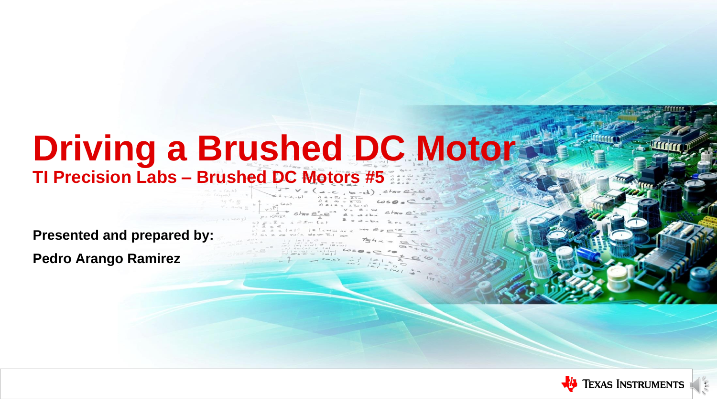### **Driving a Brushed DC Motor TI Precision Labs – Brushed DC Motors #5**

**Presented and prepared by:**

**Pedro Arango Ramirez**



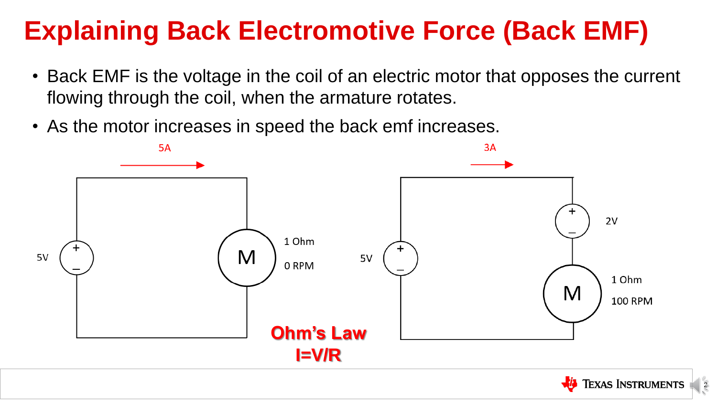## **Explaining Back Electromotive Force (Back EMF)**

- Back EMF is the voltage in the coil of an electric motor that opposes the current flowing through the coil, when the armature rotates.
- As the motor increases in speed the back emf increases.





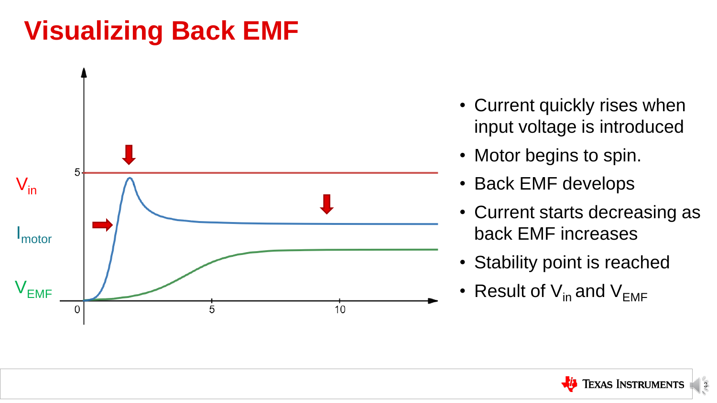### **Visualizing Back EMF**



### • Current quickly rises when input voltage is introduced



- 
- Motor begins to spin.
- Back EMF develops
- Current starts decreasing as back EMF increases
- Stability point is reached
- Result of  $V_{in}$  and  $V_{FME}$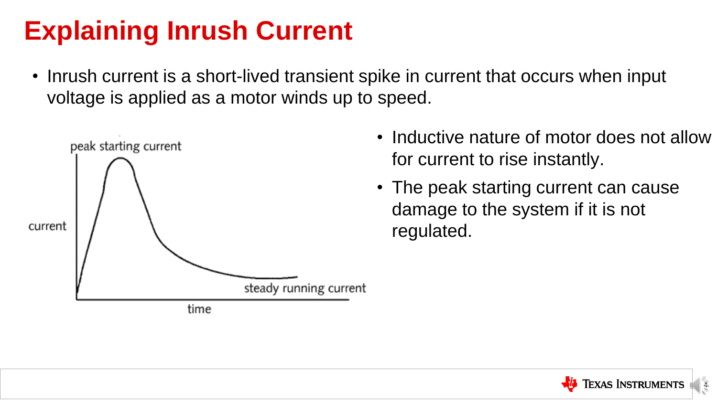## **Explaining Inrush Current**

• Inrush current is a short-lived transient spike in current that occurs when input voltage is applied as a motor winds up to speed.



- Inductive nature of motor does not allow for current to rise instantly.
- The peak starting current can cause damage to the system if it is not regulated.

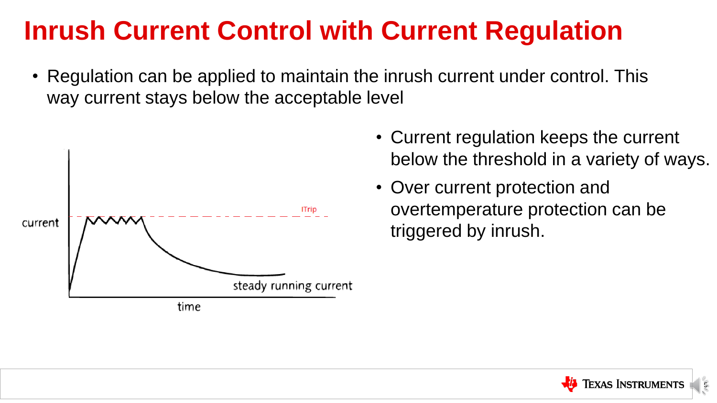### **Inrush Current Control with Current Regulation**

• Regulation can be applied to maintain the inrush current under control. This way current stays below the acceptable level





- Current regulation keeps the current below the threshold in a variety of ways.
- Over current protection and overtemperature protection can be triggered by inrush.

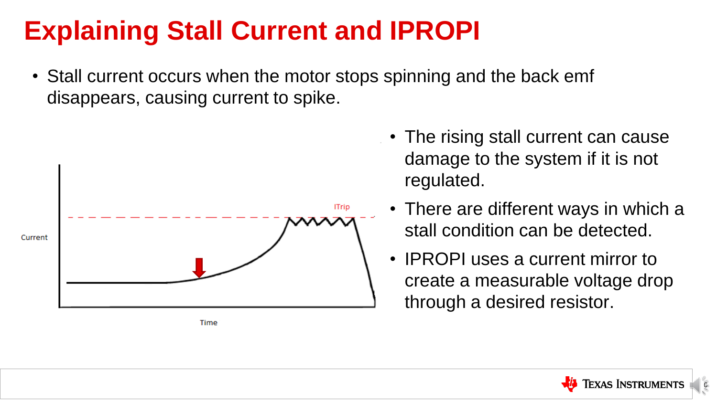## **Explaining Stall Current and IPROPI**



• Stall current occurs when the motor stops spinning and the back emf disappears, causing current to spike.



- The rising stall current can cause damage to the system if it is not regulated.
- There are different ways in which a stall condition can be detected.
- IPROPI uses a current mirror to create a measurable voltage drop through a desired resistor.

Time